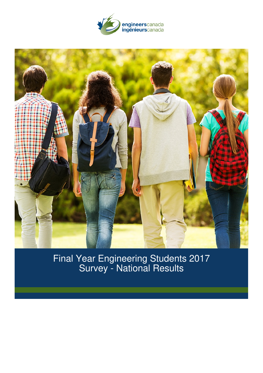



Final Year Engineering Students 2017 Survey - National Results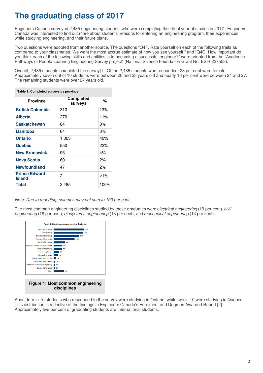# **The graduating class of 2017**

Engineers Canada surveyed 2,485 engineering students who were completing their final year of studies in 2017. Engineers Canada was interested to find out more about students' reasons for entering an engineering program, their experiences while studying engineering, and their future plans.

Two questions were adopted from another source. The questions "Q4F. Rate yourself on each of the following traits as compared to your classmates. We want the most accrue estimate of how you see yourself." and "Q4G. How important do you think each of the following skills and abilities is to becoming a successful engineer?" were adopted from the "Academic Pathways of People Learning Engineering Survey project" (National Science Foundation Grant No. ESI-0227558).

Overall, 2,485 students completed the survey[1]. Of the 2,485 students who responded, 28 per cent were female. Approximately seven out of 10 students were between 20 and 23 years old and nearly 18 per cent were between 24 and 27. The remaining students were over 27 years old.

| Table 1: Completed surveys by province |                                    |          |
|----------------------------------------|------------------------------------|----------|
| <b>Province</b>                        | <b>Completed</b><br><b>surveys</b> | %        |
| <b>British Columbia</b>                | 310                                | 13%      |
| <b>Alberta</b>                         | 270                                | 11%      |
| <b>Saskatchewan</b>                    | 84                                 | 3%       |
| <b>Manitoba</b>                        | 64                                 | 3%       |
| <b>Ontario</b>                         | 1,003                              | 40%      |
| Quebec                                 | 550                                | 22%      |
| <b>New Brunswick</b>                   | 95                                 | 4%       |
| <b>Nova Scotia</b>                     | 60                                 | 2%       |
| <b>Newfoundland</b>                    | 47                                 | 2%       |
| <b>Prince Edward</b><br><b>Island</b>  | 2                                  | ${<}1\%$ |
| <b>Total</b>                           | 2,485                              | 100%     |

### *Note: Due to rounding, columns may not sum to 100 per cent.*

The most common engineering disciplines studied by these graduates were*electrical engineering* (19 per cent), *civil engineering* (18 per cent), *biosystems engineering* (16 per cent), and *mechanical engineering* (13 per cent).



About four in 10 students who responded to the survey were studying in Ontario, while two in 10 were studying in Quebec. This distribution is reflective of the findings in Engineers Canada's Enrolment and Degrees Awarded Report.[2] Approximately five per cent of graduating students are international students.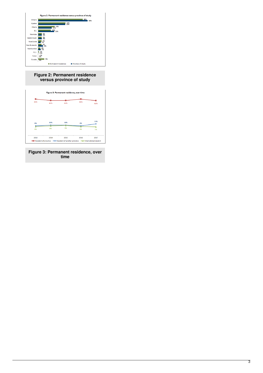

# **Figure 2: Permanent residence versus province of study**



**Figure 3: Permanent residence, over time**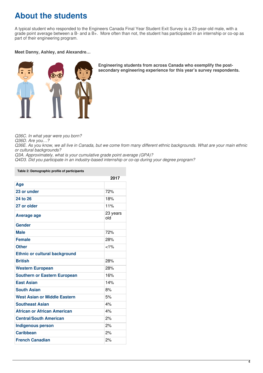# **About the students**

A typical student who responded to the Engineers Canada Final Year Student Exit Survey is a 23-year-old male, with a grade point average between a B- and a B+. More often than not, the student has participated in an internship or co-op as part of their engineering program.

# **Meet Danny, Ashley, and Alexandre…**



**Engineering students from across Canada who exemplify the postsecondary engineering experience for this year's survey respondents.**

*Q36C. In what year were you born?*

*Q36D. Are you…?*

Q36E. As you know, we all live in Canada, but we come from many different ethnic backgrounds. What are your main ethnic *or cultural backgrounds?*

*Q3A. Approximately, what is your cumulative grade point average (GPA)?*

*Q4D3. Did you participate in an industry-based internship or co-op during your degree program?*

#### **Table 2: Demographic profile of participants**

| 2017                                 |                 |
|--------------------------------------|-----------------|
| Age                                  |                 |
| 23 or under                          | 72%             |
| 24 to 26                             | 18%             |
| 27 or older                          | 11%             |
| Average age                          | 23 years<br>old |
| <b>Gender</b>                        |                 |
| <b>Male</b>                          | 72%             |
| <b>Female</b>                        | 28%             |
| <b>Other</b>                         | $< 1\%$         |
| <b>Ethnic or cultural background</b> |                 |
| <b>British</b>                       | 28%             |
| <b>Western European</b>              | 28%             |
| <b>Southern or Eastern European</b>  | 16%             |
| <b>East Asian</b>                    | 14%             |
| <b>South Asian</b>                   | 8%              |
| <b>West Asian or Middle Eastern</b>  | 5%              |
| <b>Southeast Asian</b>               | 4%              |
| <b>African or African American</b>   | 4%              |
| <b>Central/South American</b>        | 2%              |
| <b>Indigenous person</b>             | 2%              |
| <b>Caribbean</b>                     | 2%              |
| <b>French Canadian</b>               | 2%              |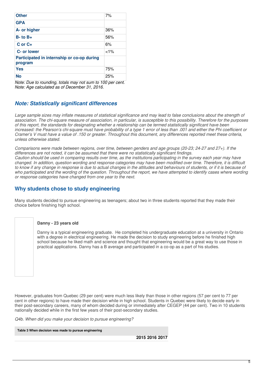| <b>Other</b>                                          | 7%      |
|-------------------------------------------------------|---------|
| <b>GPA</b>                                            |         |
| A- or higher                                          | 36%     |
| $B - to B +$                                          | 56%     |
| $C$ or $C+$                                           | 6%      |
| C- or lower                                           | $< 1\%$ |
| Participated in internship or co-op during<br>program |         |
| Yes                                                   | 75%     |
| No                                                    | 25%     |

*Note: Due to rounding, totals may not sum to 100 per cent. Note: Age calculated as of December 31, 2016.*

# *Note: Statistically significant differences*

Large sample sizes may inflate measures of statistical significance and may lead to false conclusions about the strength of association. The chi-square measure of association, in particular, is susceptible to this possibility. Therefore for the purposes of this report, the standards for designating whether a relationship can be termed statistically significant have been increased: the Pearson's chi-square must have probability of a type 1 error of less than .001 and either the Phi coefficient or Cramer's V must have a value of 150 or greater. Throughout this document, any differences reported meet these criteria. *unless otherwise stated.*

Comparisons were made between regions, over time, between genders and age groups (20-23; 24-27 and 27+). If the *differences are not noted, it can be assumed that there were no statistically significant findings.* Caution should be used in comparing results over time, as the institutions participating in the survey each year may have changed. In addition, question wording and response categories may have been modified over time. Therefore, it is difficult to know if any change in response is due to actual changes in the attitudes and behaviours of students, or if it is because of who participated and the wording of the question. Throughout the report, we have attempted to identify cases where wording *or response categories have changed from one year to the next.*

# **Why students chose to study engineering**

Many students decided to pursue engineering as teenagers; about two in three students reported that they made their choice before finishing high school.

# **Danny - 23 years old**

Danny is a typical engineering graduate. He completed his undergraduate education at a university in Ontario with a degree in electrical engineering. He made the decision to study engineering before he finished high school because he liked math and science and thought that engineering would be a great way to use those in practical applications. Danny has a B average and participated in a co-op as a part of his studies.

However, graduates from Quebec (29 per cent) were much less likely than those in other regions (57 per cent to 77 per cent in other regions) to have made their decision while in high school. Students in Quebec were likely to decide early in their post-secondary careers, many of whom decided during or immediately after CEGEP (44 per cent). Two in 10 students nationally decided while in the first few years of their post-secondary studies.

*Q4b. When did you make your decision to pursue engineering?*

**Table 3 When decision was made to pursue engineering**

**2015 2016 2017**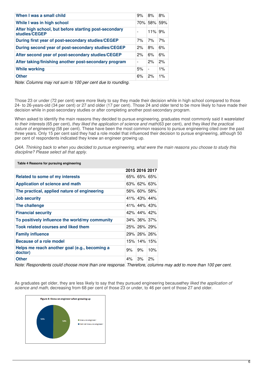| When I was a small child                                               | 9%             | 8%             | 8%    |
|------------------------------------------------------------------------|----------------|----------------|-------|
|                                                                        |                |                |       |
| While I was in high school                                             |                | 70% 58%        | 59%   |
| After high school, but before starting post-secondary<br>studies/CEGEP |                | 11%            | 9%    |
| During first year of post-secondary studies/CEGEP                      | 7%             | 7%             | 7%    |
| During second year of post-secondary studies/CEGEP                     | 2%             | 8%             | 6%    |
| After second year of post-secondary studies/CEGEP                      | 2%             | 6%             | 6%    |
| After taking/finishing another post-secondary program                  | $\blacksquare$ | 2%             | 2%    |
| <b>While working</b>                                                   | 5%             | $\blacksquare$ | $1\%$ |
| <b>Other</b>                                                           | 6%             | 2%             | $1\%$ |

*Note: Columns may not sum to 100 per cent due to rounding.*

Those 23 or under (72 per cent) were more likely to say they made their decision while in high school compared to those 24- to 26-years-old (34 per cent) or 27 and older (17 per cent). Those 24 and older tend to be more likely to have made their decision while in post-secondary studies or after completing another post-secondary program.

When asked to identify the main reasons they decided to pursue engineering, graduates most commonly said it wasrelated *to their interests* (65 per cent), *they liked the application of science and math*(63 per cent), and they *liked the practical nature of engineering* (58 per cent). These have been the most common reasons to pursue engineering cited over the past three years. Only 15 per cent said they had a role model that influenced their decision to pursue engineering, although 50 per cent of respondents indicated they knew an engineer growing up.

Q4A. Thinking back to when you decided to pursue engineering, what were the main reasons you choose to study this *discipline? Please select all that apply.*

|                                                          |    | 2015 2016 2017 |     |
|----------------------------------------------------------|----|----------------|-----|
| Related to some of my interests                          |    | $65\%$ 65% 65% |     |
| Application of science and math                          |    | $63\%$ 62% 63% |     |
| The practical, applied nature of engineering             |    | 56% 60% 58%    |     |
| <b>Job security</b>                                      |    | 41% 43% 44%    |     |
| The challenge                                            |    | 41% 44% 43%    |     |
| <b>Financial security</b>                                |    | 42% 44% 42%    |     |
| To positively influence the world/my community           |    | $34\%$ 36% 37% |     |
| <b>Took related courses and liked them</b>               |    | 25% 26% 29%    |     |
| <b>Family influence</b>                                  |    | 29% 26% 26%    |     |
| Because of a role model                                  |    | 15% 14% 15%    |     |
| Helps me reach another goal (e.g., becoming a<br>doctor) | 9% | 9%             | 10% |
| <b>Other</b>                                             | 4% | 3%             | 2%  |

**Table 4 Reasons for pursuing engineering**

Note: Respondents could choose more than one response. Therefore, columns may add to more than 100 per cent.

As graduates get older, they are less likely to say that they pursued engineering because*they liked the application of science and math*, decreasing from 68 per cent of those 23 or under, to 46 per cent of those 27 and older.

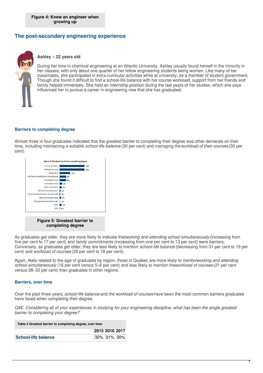# **The post-secondary engineering experience**



## **Ashley – 22 years old**

During her time in chemical engineering at an Atlantic University, Ashley usually found herself in the minority in her classes, with only about one quarter of her fellow engineering students being women. Like many of her classmates, she participated in extra-curricular activities while at university, as a member of student government. Though she found it difficult to find a school-life balance with her course workload, support from her friends and family helped immensely. She held an internship position during the last years of her studies, which she says influenced her to pursue a career in engineering now that she has graduated.

# **Barriers to completing degree**

Almost three in four graduates indicated that the greatest barrier to completing their degree was other demands on their time, including maintaining a suitable *school-life balance* (30 per cent) and managing the*workload of their courses* (30 per cent).



As graduates get older, they are more likely to indicate that*working and attending school simultaneously* (increasing from five per cent to 17 per cent) and *family commitments* (increasing from one per cent to 13 per cent) were barriers. Conversely, as graduates get older, they are less likely to mention *school-life balance* (decreasing from 31 per cent to 19 per cent) and *workload of courses* (33 per cent to 18 per cent).

Again, likely related to the age of graduates by region, those in Quebec are more likely to mention*working and attending school simultaneously* (16 per cent versus 5–6 per cent) and less likely to mention the*workload of courses* (21 per cent versus 28–33 per cent) than graduates in other regions.

### **Barriers, over time**

Over the past three years, *school-life balance* and the *workload of courses* have been the most common barriers graduates have faced when completing their degree.

Q4E. Considering all of your experiences in studying for your engineering discipline, what has been the single greatest *barrier to completing your degree?*

| Table 5 Greatest barrier to completing degree, over time |                 |  |  |
|----------------------------------------------------------|-----------------|--|--|
|                                                          | 2015 2016 2017  |  |  |
| <b>School-life balance</b>                               | 30%   31%   30% |  |  |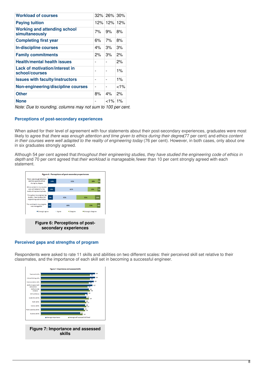| <b>Workload of courses</b>                            |     | $32\%$ 26% | 30%      |
|-------------------------------------------------------|-----|------------|----------|
| <b>Paying tuition</b>                                 | 12% | 12%        | 12%      |
| <b>Working and attending school</b><br>simultaneously | 7%  | 9%         | 8%       |
| <b>Completing first year</b>                          | 6%  | 7%         | 8%       |
| In-discipline courses                                 | 4%  | 3%         | 3%       |
| <b>Family commitments</b>                             | 2%  | 3%         | 2%       |
| <b>Health/mental health issues</b>                    | -   | ۰          | 2%       |
| Lack of motivation/interest in<br>school/courses      | ۰   | ۰          | $1\%$    |
| <b>Issues with faculty/instructors</b>                |     | ۰          | $1\%$    |
| Non-engineering/discipline courses                    | ۰   | ۰          | ${<}1\%$ |
| <b>Other</b>                                          | 8%  | 4%         | 2%       |
| <b>None</b>                                           |     | 1%>        | $1\%$    |

*Note: Due to rounding, columns may not sum to 100 per cent.*

# **Perceptions of post-secondary experiences**

When asked for their level of agreement with four statements about their post-secondary experiences, graduates were most likely to agree that *there was enough attention and time given to ethics during their degree*(77 per cent) and *ethics content in their courses were well adapted to the reality of engineering today* (76 per cent). However, in both cases, only about one in six graduates strongly agreed.

Although 54 per cent agreed that *throughout their engineering studies, they have studied the engineering code of ethics in depth* and 70 per cent agreed that *their workload is manageable,* fewer than 10 per cent strongly agreed with each statement.



### **Perceived gaps and strengths of program**

Respondents were asked to rate 11 skills and abilities on two different scales: their perceived skill set relative to their classmates, and the importance of each skill set in becoming a successful engineer.

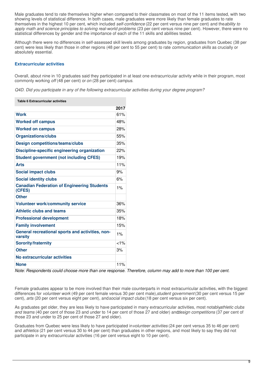Male graduates tend to rate themselves higher when compared to their classmates on most of the 11 items tested, with two showing levels of statistical difference. In both cases, male graduates were more likely than female graduates to rate themselves in the highest 10 per cent, which included *self-confidence* (22 per cent versus nine per cent) and the*ability to apply math and science principles to solving real-world problems* (23 per cent versus nine per cent). However, there were no statistical differences by gender and the importance of each of the 11 skills and abilities tested.

Although there were no differences in self-assessed skill levels among graduates by region, graduates from Quebec (38 per cent) were less likely than those in other regions (48 per cent to 55 per cent) to rate *communication skills* as crucially or absolutely essential.

# **Extracurricular activities**

Overall, about nine in 10 graduates said they participated in at least one extracurricular activity while in their program, most commonly working *off* (48 per cent) or *on* (28 per cent) *campus*.

*Q4D. Did you participate in any of the following extracurricular activities during your degree program?*

**Table 6 Extracurricular activities**

|                                                              | 2017    |
|--------------------------------------------------------------|---------|
| <b>Work</b>                                                  | 61%     |
| <b>Worked off campus</b>                                     | 48%     |
| <b>Worked on campus</b>                                      | 28%     |
| <b>Organizations/clubs</b>                                   | 55%     |
| <b>Design competitions/teams/clubs</b>                       | 35%     |
| <b>Discipline-specific engineering organization</b>          | 22%     |
| <b>Student government (not including CFES)</b>               | 19%     |
| <b>Arts</b>                                                  | 11%     |
| <b>Social impact clubs</b>                                   | 9%      |
| <b>Social identity clubs</b>                                 | 6%      |
| <b>Canadian Federation of Engineering Students</b><br>(CFES) | 1%      |
| <b>Other</b>                                                 |         |
| <b>Volunteer work/community service</b>                      | 36%     |
| <b>Athletic clubs and teams</b>                              | 35%     |
| <b>Professional development</b>                              | 18%     |
| <b>Family involvement</b>                                    | 15%     |
| General recreational sports and activities, non-<br>varsity  | 1%      |
| <b>Sorority/fraternity</b>                                   | $< 1\%$ |
| <b>Other</b>                                                 | 3%      |
| No extracurricular activities                                |         |
| <b>None</b>                                                  | 11%     |

Note: Respondents could choose more than one response. Therefore, column may add to more than 100 per cent.

Female graduates appear to be more involved than their male counterparts in most extracurricular activities, with the biggest differences for *volunteer work* (49 per cent female versus 30 per cent male),*student government* (30 per cent versus 15 per cent), *arts* (20 per cent versus eight per cent), and*social impact clubs* (18 per cent versus six per cent).

As graduates get older, they are less likely to have participated in many extracurricular activities, most notably*athletic clubs and teams* (40 per cent of those 23 and under to 14 per cent of those 27 and older) and*design competitions* (37 per cent of those 23 and under to 25 per cent of those 27 and older).

Graduates from Quebec were less likely to have participated in*volunteer activities* (24 per cent versus 35 to 46 per cent) and *athletics* (21 per cent versus 30 to 44 per cent) than graduates in other regions, and most likely to say they did not participate in any extracurricular activities (16 per cent versus eight to 10 per cent).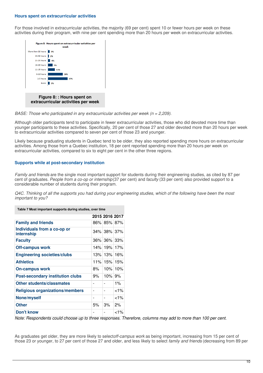#### **Hours spent on extracurricular activities**

For those involved in extracurricular activities, the majority (69 per cent) spent 10 or fewer hours per week on these activities during their program, with nine per cent spending more than 20 hours per week on extracurricular activities.



*BASE: Those who participated in any extracurricular activities per week (n = 2,209).*

Although older participants tend to participate in fewer extracurricular activities, those who did devoted more time than younger participants to these activities. Specifically, 20 per cent of those 27 and older devoted more than 20 hours per week to extracurricular activities compared to seven per cent of those 23 and younger.

Likely because graduating students in Quebec tend to be older, they also reported spending more hours on extracurricular activities. Among those from a Quebec institution, 18 per cent reported spending more than 20 hours per week on extracurricular activities, compared to six to eight per cent in the other three regions.

# **Supports while at post-secondary institution**

*Family and friends* are the single most important support for students during their engineering studies, as cited by 87 per cent of graduates. *People from a co-op or internship*(37 per cent) and *faculty* (33 per cent) also provided support to a considerable number of students during their program.

Q4C. Thinking of all the supports you had during your engineering studies, which of the following have been the most *important to you?*

| Table 7 Most important supports during studies, over time |      |                |          |
|-----------------------------------------------------------|------|----------------|----------|
|                                                           |      | 2015 2016 2017 |          |
| <b>Family and friends</b>                                 |      | 86% 85% 87%    |          |
| Individuals from a co-op or<br>internship                 |      | 34% 38% 37%    |          |
| <b>Faculty</b>                                            |      | 36% 36% 33%    |          |
| <b>Off-campus work</b>                                    |      | 14% 19%        | 17%      |
| <b>Engineering societies/clubs</b>                        | 13%  | 13% l          | 16%      |
| <b>Athletics</b>                                          |      | 11% 15%        | 15%      |
| <b>On-campus work</b>                                     | ୫% । | 10%            | 10%      |
| <b>Post-secondary institution clubs</b>                   | 9%   | 10%            | 9%       |
| Other students/classmates                                 | -    | ۰              | $1\%$    |
| <b>Religious organizations/members</b>                    | -    | -              | ${<}1\%$ |
| None/myself                                               | -    | -              | $< 1\%$  |
| <b>Other</b>                                              | 5%   | 3%             | 2%       |
| Don't know                                                |      |                | ${<}1\%$ |

Note: Respondents could choose up to three responses. Therefore, columns may add to more than 100 per cent.

As graduates get older, they are more likely to select*off-campus work* as being important, increasing from 15 per cent of those 23 or younger, to 27 per cent of those 27 and older, and less likely to select *family and friends* (decreasing from 89 per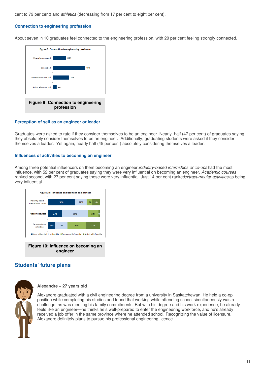cent to 79 per cent) and *athletics* (decreasing from 17 per cent to eight per cent).

# **Connection to engineering profession**

About seven in 10 graduates feel connected to the engineering profession, with 20 per cent feeling strongly connected.



### **Perception of self as an engineer or leader**

Graduates were asked to rate if they consider themselves to be an engineer. Nearly half (47 per cent) of graduates saying they absolutely consider themselves to be an engineer. Additionally, graduating students were asked if they consider themselves a leader. Yet again, nearly half (45 per cent) absolutely considering themselves a leader.

#### **Influences of activities to becoming an engineer**

Among three potential influencers on them becoming an engineer,*industry-based internships or co-ops* had the most influence, with 52 per cent of graduates saying they were very influential on becoming an engineer. *Academic courses* ranked second, with 27 per cent saying these were very influential. Just 14 per cent ranked*extracurricular activities* as being very influential.



# **Students' future plans**



### **Alexandre – 27 years old**

Alexandre graduated with a civil engineering degree from a university in Saskatchewan. He held a co-op position while completing his studies and found that working while attending school simultaneously was a challenge, as was meeting his family commitments. But with his degree and his work experience, he already feels like an engineer—he thinks he's well-prepared to enter the engineering workforce, and he's already received a job offer in the same province where he attended school. Recognizing the value of licensure, Alexandre definitely plans to pursue his professional engineering licence.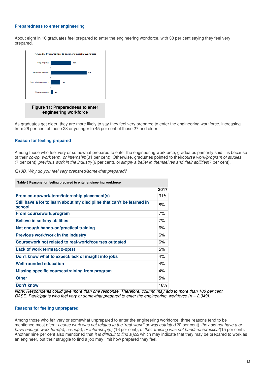## **Preparedness to enter engineering**

About eight in 10 graduates feel prepared to enter the engineering workforce, with 30 per cent saying they feel very prepared.



As graduates get older, they are more likely to say they feel very prepared to enter the engineering workforce, increasing from 26 per cent of those 23 or younger to 45 per cent of those 27 and older.

# **Reason for feeling prepared**

Among those who feel very or somewhat prepared to enter the engineering workforce, graduates primarily said it is because of their *co-op, work term, or internship*(31 per cent). Otherwise, graduates pointed to their*course work/program of studies* (7 per cent), *previous work in the industry*(6 per cent), or *simply a belief in themselves and their abilities*(7 per cent).

*Q13B. Why do you feel very prepared/somewhat prepared?*

| Table 8 Reasons for feeling prepared to enter engineering workforce              |      |
|----------------------------------------------------------------------------------|------|
|                                                                                  | 2017 |
| From co-op/work-term/internship placement(s)                                     | 31%  |
| Still have a lot to learn about my discipline that can't be learned in<br>school | 8%   |
| From coursework/program                                                          | 7%   |
| Believe in self/my abilities                                                     | 7%   |
| Not enough hands-on/practical training                                           | 6%   |
| Previous work/work in the industry                                               | 6%   |
| Coursework not related to real-world/courses outdated                            | 6%   |
| Lack of work term(s)/co-op(s)                                                    | 5%   |
| Don't know what to expect/lack of insight into jobs                              | 4%   |
| <b>Well-rounded education</b>                                                    | 4%   |
| Missing specific courses/training from program                                   | 4%   |
| <b>Other</b>                                                                     | 5%   |
| Don't know                                                                       | 18%  |

Note: Respondents could give more than one response. Therefore, column may add to more than 100 per cent. *BASE: Participants who feel very or somewhat prepared to enter the engineering workforce (n = 2,049).*

### **Reasons for feeling unprepared**

Among those who felt very or somewhat unprepared to enter the engineering workforce, three reasons tend to be mentioned most often: course work was not related to the 'real-world' or was outdated 20 per cent); they did not have a or *have enough work term(s), co-op(s), or internship(s)* (16 per cent); or*their training was not hands-on/practical*(15 per cent). Another nine per cent also mentioned that *it is difficult to find a job*, which may indicate that they may be prepared to work as an engineer, but their struggle to find a job may limit how prepared they feel.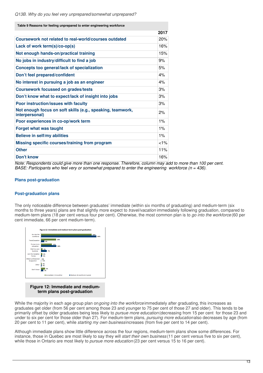| Table 9 Reasons for feeling unprepared to enter engineering workforce        |         |
|------------------------------------------------------------------------------|---------|
|                                                                              | 2017    |
| Coursework not related to real-world/courses outdated                        | 20%     |
| Lack of work term(s)/co-op(s)                                                | 16%     |
| Not enough hands-on/practical training                                       | 15%     |
| No jobs in industry/difficult to find a job                                  | 9%      |
| Concepts too general/lack of specialization                                  | 5%      |
| Don't feel prepared/confident                                                | 4%      |
| No interest in pursuing a job as an engineer                                 | 4%      |
| <b>Coursework focussed on grades/tests</b>                                   | 3%      |
| Don't know what to expect/lack of insight into jobs                          | 3%      |
| Poor instruction/issues with faculty                                         | 3%      |
| Not enough focus on soft skills (e.g., speaking, teamwork,<br>interpersonal) | 2%      |
| Poor experiences in co-op/work term                                          | 1%      |
| <b>Forget what was taught</b>                                                | 1%      |
| Believe in self/my abilities                                                 | $1\%$   |
| Missing specific courses/training from program                               | $< 1\%$ |
| <b>Other</b>                                                                 | 11%     |
| Don't know                                                                   | 16%     |

Note: Respondents could give more than one response. Therefore, column may add to more than 100 per cent. *BASE: Participants who feel very or somewhat prepared to enter the engineering workforce (n = 436).*

# **Plans post-graduation**

### **Post-graduation plans**

The only noticeable difference between graduates' immediate (within six months of graduating) and medium-term (six months to three years) plans are that slightly more expect to *travel/vacation* immediately following graduation, compared to medium-term plans (18 per cent versus four per cent). Otherwise, the most common plan is to *go into the workforce* (60 per cent immediate, 66 per cent medium-term).



**Figure 12: Immediate and mediumterm plans post-graduation**

While the majority in each age group plan on*going into the workforce* immediately after graduating*,* this increases as graduates get older (from 56 per cent among those 23 and younger to 75 per cent of those 27 and older). This tends to be primarily offset by older graduates being less likely to *pursue more education* (decreasing from 15 per cent for those 23 and under to six per cent for those older than 27). For medium-term plans, *pursuing more education*also decreases by age (from 20 per cent to 11 per cent), while *starting my own business*increases (from five per cent to 14 per cent).

Although immediate plans show little difference across the four regions, medium-term plans show some differences. For instance, those in Quebec are most likely to say they will *start their own business* (11 per cent versus five to six per cent), while those in Ontario are most likely to *pursue more education* (23 per cent versus 15 to 16 per cent).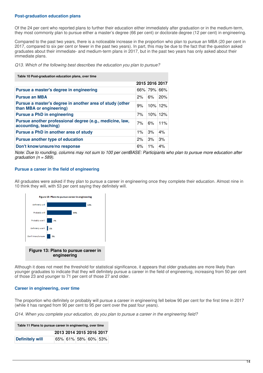# **Post-graduation education plans**

Of the 24 per cent who reported plans to further their education either immediately after graduation or in the medium-term, they most commonly plan to pursue either a master's degree (66 per cent) or doctorate degree (12 per cent) in engineering.

Compared to the past two years, there is a noticeable increase in the proportion who plan to pursue an MBA (20 per cent in 2017, compared to six per cent or fewer in the past two years). In part, this may be due to the fact that the question asked graduates about their immediate- and medium-term plans in 2017, but in the past two years has only asked about their immediate plans.

*Q13. Which of the following best describes the education you plan to pursue?*

| Table 10 Post-graduation education plans, over time                                  |       |                |            |
|--------------------------------------------------------------------------------------|-------|----------------|------------|
|                                                                                      |       | 2015 2016 2017 |            |
| Pursue a master's degree in engineering                                              |       | 66% 79% 66%    |            |
| <b>Pursue an MBA</b>                                                                 | 2%    | 6%             | 20%        |
| Pursue a master's degree in another area of study (other<br>than MBA or engineering) | 9%    |                | $10\%$ 12% |
| <b>Pursue a PhD in engineering</b>                                                   | 7%    | 10%            | 12%        |
| Pursue another professional degree (e.g., medicine, law,<br>accounting, teaching)    | 7%    | 6%             | 11%        |
| Pursue a PhD in another area of study                                                | $1\%$ | 3%             | 4%         |
| Pursue another type of education                                                     | 2%    | 3%             | 3%         |
| Don't know/unsure/no response                                                        | 6%    | $1\%$          | 4%         |

Note: Due to rounding, columns may not sum to 100 per centBASE: Participants who plan to pursue more education after *graduation (n = 589).*

# **Pursue a career in the field of engineering**

All graduates were asked if they plan to pursue a career in engineering once they complete their education. Almost nine in 10 think they will, with 53 per cent saying they definitely will.



**engineering**

Although it does not meet the threshold for statistical significance, it appears that older graduates are more likely than younger graduates to indicate that they will definitely pursue a career in the field of engineering, increasing from 50 per cent of those 23 and younger to 71 per cent of those 27 and older.

### **Career in engineering, over time**

The proportion who definitely or probably will pursue a career in engineering fell below 90 per cent for the first time in 2017 (while it has ranged from 90 per cent to 95 per cent over the past four years).

*Q14. When you complete your education, do you plan to pursue a career in the engineering field?*

| Table 11 Plans to pursue career in engineering, over time |  |                          |  |  |  |
|-----------------------------------------------------------|--|--------------------------|--|--|--|
|                                                           |  | 2013 2014 2015 2016 2017 |  |  |  |
| <b>Definitely will</b>                                    |  | 65% 61% 58% 60% 53%      |  |  |  |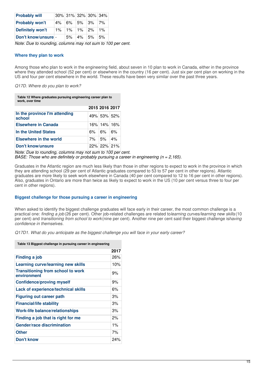| <b>Probably will</b>    | 30% 31% 32% 30% 34% |            |    |
|-------------------------|---------------------|------------|----|
| <b>Probably won't</b>   | $4\%$ 6% 5% 3% 7%   |            |    |
| <b>Definitely won't</b> | $1\%$ 1% 1% 2% 1%   |            |    |
| Don't know/unsure       | 5%                  | $ 4\% $ 5% | 5% |

*Note: Due to rounding, columns may not sum to 100 per cent.*

# **Where they plan to work**

Among those who plan to work in the engineering field, about seven in 10 plan to work in Canada, either in the province where they attended school (52 per cent) or elsewhere in the country (16 per cent). Just six per cent plan on working in the US and four per cent elsewhere in the world. These results have been very similar over the past three years.

*Q17D. Where do you plan to work?*

**Table 12 Where graduates pursuing engineering career plan to work, over time**

|                                         | 2015 2016 2017     |  |
|-----------------------------------------|--------------------|--|
| In the province I'm attending<br>school | 49% 53% 52%        |  |
| <b>Elsewhere in Canada</b>              | 16% 14% 16%        |  |
| In the United States                    | $6\%$ $6\%$ $16\%$ |  |
| <b>Elsewhere in the world</b>           | 7% 5% 4%           |  |
| <b>Don't know/unsure</b>                | $22\%$ 22% 21%     |  |

*Note: Due to rounding, columns may not sum to 100 per cent. BASE: Those who are definitely or probably pursuing a career in engineering (n = 2,165).*

Graduates in the Atlantic region are much less likely than those in other regions to expect to work in the province in which they are attending school (29 per cent of Atlantic graduates compared to 53 to 57 per cent in other regions). Atlantic graduates are more likely to seek work elsewhere in Canada (40 per cent compared to 12 to 16 per cent in other regions). Also, graduates in Ontario are more than twice as likely to expect to work in the US (10 per cent versus three to four per cent in other regions).

# **Biggest challenge for those pursuing a career in engineering**

When asked to identify the biggest challenge graduates will face early in their career, the most common challenge is a practical one: *finding a job* (26 per cent). Other job-related challenges are related to*learning curves/learning new skills* (10 per cent) and *transitioning from school to work*(nine per cent). Another nine per cent said their biggest challenge is*having confidence in themselves*.

*Q17D1. What do you anticipate as the biggest challenge you will face in your early career?*

| Table 13 Biggest challenge in pursuing career in engineering |       |  |  |  |
|--------------------------------------------------------------|-------|--|--|--|
|                                                              | 2017  |  |  |  |
| Finding a job                                                | 26%   |  |  |  |
| Learning curve/learning new skills                           | 10%   |  |  |  |
| <b>Transitioning from school to work</b><br>environment      | 9%    |  |  |  |
| <b>Confidence/proving myself</b>                             | 9%    |  |  |  |
| <b>Lack of experience/technical skills</b>                   | 6%    |  |  |  |
| <b>Figuring out career path</b>                              | 3%    |  |  |  |
| <b>Financial/life stability</b>                              | 3%    |  |  |  |
| <b>Work-life balance/relationships</b>                       | 3%    |  |  |  |
| Finding a job that is right for me                           | 2%    |  |  |  |
| <b>Gender/race discrimination</b>                            | $1\%$ |  |  |  |
| <b>Other</b>                                                 | 7%    |  |  |  |
| Don't know                                                   | 24%   |  |  |  |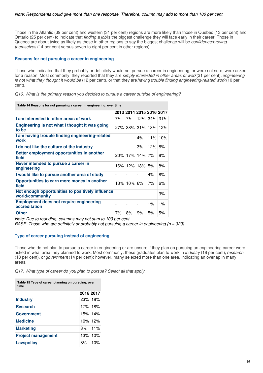Those in the Atlantic (39 per cent) and western (31 per cent) regions are more likely than those in Quebec (13 per cent) and Ontario (25 per cent) to indicate that *finding a job* is the biggest challenge they will face early in their career. Those in Quebec are about twice as likely as those in other regions to say the biggest challenge will be *confidence/proving themselves* (14 per cent versus seven to eight per cent in other regions).

## **Reasons for not pursuing a career in engineering**

Those who indicated that they probably or definitely would not pursue a career in engineering, or were not sure, were asked for a reason. Most commonly, they reported that they are *simply interested in other areas of work*(31 per cent), *engineering is not what they thought it would be* (12 per cent), or that they are*having trouble finding engineering-related work* (10 per cent).

*Q16. What is the primary reason you decided to pursue a career outside of engineering?*

| Table 14 Reasons for not pursuing a career in engineering, over time |  |
|----------------------------------------------------------------------|--|
|----------------------------------------------------------------------|--|

|                                                                        |    | 2013 2014 2015 2016 2017 |                |                          |       |
|------------------------------------------------------------------------|----|--------------------------|----------------|--------------------------|-------|
| I am interested in other areas of work                                 | 7% | 7%                       |                | 12% 34% 31%              |       |
| Engineering is not what I thought it was going<br>to be                |    | 27% 38% 31% 13% 12%      |                |                          |       |
| I am having trouble finding engineering-related<br>work                |    |                          | 4%             | 11% 10%                  |       |
| I do not like the culture of the industry                              | ۰  | ۰                        | 3%             | 12%                      | 8%    |
| Better employment opportunities in another<br>field                    |    | $20\%$ 17% 14% 7%        |                |                          | 8%    |
| Never intended to pursue a career in<br>engineering                    |    | 16% 12% 18% 5%           |                |                          | 8%    |
| I would like to pursue another area of study                           |    |                          |                | 4%                       | 8%    |
| Opportunities to earn more money in another<br>field                   |    | $13\%$ 10% 6%            |                | 7%                       | 6%    |
| Not enough opportunities to positively influence<br>world/community    |    | ۰                        |                | $\overline{\phantom{0}}$ | 3%    |
| <b>Employment does not require engineering</b><br><b>accreditation</b> |    | ۰                        | $\blacksquare$ | $1\%$                    | $1\%$ |
| <b>Other</b>                                                           | 7% | 8%                       | 9%             | 5%                       | 5%    |

*Note: Due to rounding, columns may not sum to 100 per cent.*

*BASE: Those who are definitely or probably not pursuing a career in engineering (n = 320).*

### **Type of career pursuing instead of engineering**

Those who do not plan to pursue a career in engineering or are unsure if they plan on pursuing an engineering career were asked in what area they planned to work. Most commonly, these graduates plan to work in *industry* (18 per cent), *research* (18 per cent), or *government* (14 per cent); however, many selected more than one area, indicating an overlap in many areas.

*Q17. What type of career do you plan to pursue? Select all that apply.*

| Table 15 Type of career planning on pursuing, over<br>time |           |            |  |  |
|------------------------------------------------------------|-----------|------------|--|--|
|                                                            | 2016 2017 |            |  |  |
| <b>Industry</b>                                            | 23%18%    |            |  |  |
| <b>Research</b>                                            |           | 17% 18%    |  |  |
| Government                                                 | 15% 14%   |            |  |  |
| <b>Medicine</b>                                            |           | $10\%$ 12% |  |  |
| <b>Marketing</b>                                           | ୫%        | $11\%$     |  |  |
| <b>Project management</b>                                  |           | $13%$ 10%  |  |  |
| Law/policy                                                 | 8%        | 10%        |  |  |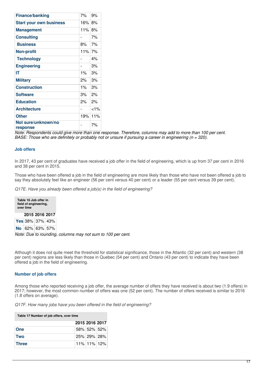| <b>Finance/banking</b>          | 7%                       | 9%       |
|---------------------------------|--------------------------|----------|
| <b>Start your own business</b>  | 16% 8%                   |          |
| <b>Management</b>               | 11% 8%                   |          |
| <b>Consulting</b>               |                          | 7%       |
| <b>Business</b>                 | 8%                       | 7%       |
| <b>Non-profit</b>               | $11\%$ 7%                |          |
| <b>Technology</b>               |                          | 4%       |
| <b>Engineering</b>              | $\overline{a}$           | 3%       |
| IΤ                              | $1\%$                    | 3%       |
| <b>Military</b>                 | 2%                       | 3%       |
| <b>Construction</b>             | 1%                       | 3%       |
| <b>Software</b>                 | 3%                       | 2%       |
| <b>Education</b>                | 2%                       | 2%       |
| <b>Architecture</b>             | $\overline{\phantom{0}}$ | ${<}1\%$ |
| <b>Other</b>                    | 19%                      | 11%      |
| Not sure/unknown/no<br>response |                          | 7%       |

Note: Respondents could give more than one response. Therefore, columns may add to more than 100 per cent. BASE: Those who are definitely or probably not or unsure if pursuing a career in engineering ( $n = 320$ ).

### **Job offers**

In 2017, 43 per cent of graduates have received a job offer in the field of engineering, which is up from 37 per cent in 2016 and 38 per cent in 2015.

Those who have been offered a job in the field of engineering are more likely than those who have not been offered a job to say they absolutely feel like an engineer (56 per cent versus 40 per cent) or a leader (55 per cent versus 39 per cent).

*Q17E. Have you already been offered a job(s) in the field of engineering?*

| Table 16 Job offer in<br>field of engineering,<br>over time |  |                      |  |  |  |
|-------------------------------------------------------------|--|----------------------|--|--|--|
| 2015 2016 2017                                              |  |                      |  |  |  |
|                                                             |  | Yes 38% 37% 43%      |  |  |  |
|                                                             |  | No   62%   63%   57% |  |  |  |

*Note: Due to rounding, columns may not sum to 100 per cent.*

Although it does not quite meet the threshold for statistical significance, those in the Atlantic (32 per cent) and western (38 per cent) regions are less likely than those in Quebec (54 per cent) and Ontario (43 per cent) to indicate they have been offered a job in the field of engineering.

#### **Number of job offers**

Among those who reported receiving a job offer, the average number of offers they have received is about two (1.9 offers) in 2017; however, the most common number of offers was one (52 per cent). The number of offers received is similar to 2016 (1.8 offers on average).

*Q17F. How many jobs have you been offered in the field of engineering?*

| Table 17 Number of job offers, over time |                |             |  |  |
|------------------------------------------|----------------|-------------|--|--|
|                                          | 2015 2016 2017 |             |  |  |
| <b>One</b>                               |                | 58% 52% 52% |  |  |
| <b>Two</b>                               |                | 25% 29% 28% |  |  |
| <b>Three</b>                             |                | 11% 11% 12% |  |  |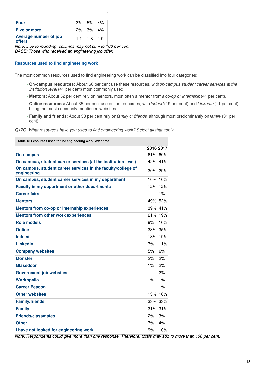| <b>Four</b>                                   | $ 3\% $ 5% $ 4\% $ |  |
|-----------------------------------------------|--------------------|--|
| <b>Five or more</b>                           | $2\%$ 3% 4%        |  |
| <b>Average number of job</b><br><b>offers</b> | $1.1$   1.8   1.9  |  |

*Note: Due to rounding, columns may not sum to 100 per cent. BASE: Those who received an engineering job offer.*

# **Resources used to find engineering work**

The most common resources used to find engineering work can be classified into four categories:

- **On-campus resources:** About 60 per cent use these resources, with*on-campus student career services at the* » *institution level* (41 per cent) most commonly used.
- »**Mentors:** About 52 per cent rely on mentors, most often a mentor from*a co-op or internship* (41 per cent).
- **Online resources:** About 35 per cent use online resources, with*Indeed* (19 per cent) and *LinkedIn* (11 per cent) » being the most commonly mentioned websites.
- **Family and friends:** About 33 per cent rely on*family or friends*, although most predominantly on*family* (31 per » cent).

| Q17G. What resources have you used to find engineering work? Select all that apply. |  |  |  |
|-------------------------------------------------------------------------------------|--|--|--|
|-------------------------------------------------------------------------------------|--|--|--|

| Table 18 Resources used to find engineering work, over time                 |           |         |
|-----------------------------------------------------------------------------|-----------|---------|
|                                                                             | 2016 2017 |         |
| <b>On-campus</b>                                                            |           | 61% 60% |
| On campus, student career services (at the institution level)               |           | 42% 41% |
| On campus, student career services in the faculty/college of<br>engineering |           | 30% 29% |
| On campus, student career services in my department                         | 16%       | 16%     |
| Faculty in my department or other departments                               | 12%       | 12%     |
| <b>Career fairs</b>                                                         |           | 1%      |
| <b>Mentors</b>                                                              | 49%       | 52%     |
| Mentors from co-op or internship experiences                                | 39%       | 41%     |
| <b>Mentors from other work experiences</b>                                  | 21%       | 19%     |
| <b>Role models</b>                                                          | 9%        | 10%     |
| <b>Online</b>                                                               | 33%       | 35%     |
| <b>Indeed</b>                                                               | 18%       | 19%     |
| <b>LinkedIn</b>                                                             | 7%        | 11%     |
| <b>Company websites</b>                                                     | 5%        | 6%      |
| <b>Monster</b>                                                              | 2%        | 2%      |
| <b>Glassdoor</b>                                                            | 1%        | 2%      |
| <b>Government job websites</b>                                              |           | 2%      |
| <b>Workopolis</b>                                                           | $1\%$     | 1%      |
| <b>Career Beacon</b>                                                        |           | 1%      |
| <b>Other websites</b>                                                       | 13%       | 10%     |
| <b>Family/friends</b>                                                       | 33%       | 33%     |
| <b>Family</b>                                                               | 31%       | 31%     |
| <b>Friends/classmates</b>                                                   | 2%        | 3%      |
| <b>Other</b>                                                                | 7%        | 4%      |
| I have not looked for engineering work                                      | 9%        | 10%     |

Note: Respondents could give more than one response. Therefore, totals may add to more than 100 per cent.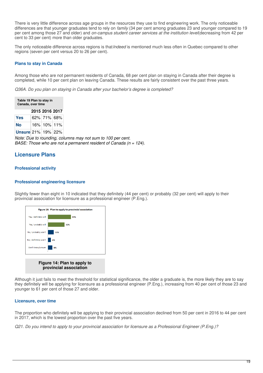There is very little difference across age groups in the resources they use to find engineering work. The only noticeable differences are that younger graduates tend to rely on *family* (34 per cent among graduates 23 and younger compared to 19 per cent among those 27 and older) and *on-campus student career services at the institution level*(decreasing from 42 per cent to 33 per cent) more than older graduates.

The only noticeable difference across regions is that*Indeed* is mentioned much less often in Quebec compared to other regions (seven per cent versus 20 to 26 per cent).

## **Plans to stay in Canada**

Among those who are not permanent residents of Canada, 68 per cent plan on staying in Canada after their degree is completed, while 10 per cent plan on leaving Canada. These results are fairly consistent over the past three years.

*Q36A. Do you plan on staying in Canada after your bachelor's degree is completed?*

| Table 19 Plan to stay in<br>Canada, over time |  |             |  |  |  |  |  |
|-----------------------------------------------|--|-------------|--|--|--|--|--|
| 2015 2016 2017                                |  |             |  |  |  |  |  |
| <b>Yes</b>                                    |  | 62% 71% 68% |  |  |  |  |  |
| <b>No</b>                                     |  | 16% 10% 11% |  |  |  |  |  |
| <b>Unsure</b> 21% 19% 22%                     |  |             |  |  |  |  |  |

*Note: Due to rounding, columns may not sum to 100 per cent. BASE: Those who are not a permanent resident of Canada (n = 124).*

# **Licensure Plans**

# **Professional activity**

# **Professional engineering licensure**

Slightly fewer than eight in 10 indicated that they definitely (44 per cent) or probably (32 per cent) will apply to their provincial association for licensure as a professional engineer (P.Eng.).



Although it just fails to meet the threshold for statistical significance, the older a graduate is, the more likely they are to say they definitely will be applying for licensure as a professional engineer (P.Eng.), increasing from 40 per cent of those 23 and younger to 61 per cent of those 27 and older.

### **Licensure, over time**

The proportion who definitely will be applying to their provincial association declined from 50 per cent in 2016 to 44 per cent in 2017, which is the lowest proportion over the past five years.

Q21. Do you intend to apply to your provincial association for licensure as a Professional Engineer (P.Eng.)?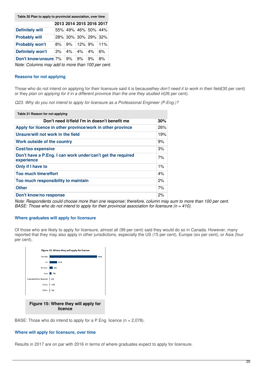**Table 20 Plan to apply to provincial association, over time**

|                         |    | 2013 2014 2015 2016 2017 |        |    |     |
|-------------------------|----|--------------------------|--------|----|-----|
| <b>Definitely will</b>  |    | 55% 49% 46% 50% 44%      |        |    |     |
| <b>Probably will</b>    |    | 28% 30% 30% 29% 32%      |        |    |     |
| <b>Probably won't</b>   | 8% | 9%                       | 12% 9% |    | 11% |
| <b>Definitely won't</b> | 3% | 4%                       | 4%     | 4% | 6%  |
| Don't know/unsure 7%    |    | 9%                       | 9%     | 9% | 8%  |

*Note: Columns may add to more than 100 per cent.*

#### **Reasons for not applying**

Those who do not intend on applying for their licensure said it is because*they don't need it to work in their field*(30 per cent) or they *plan on applying for it in a different province than the one they studied in*(26 per cent).

*Q23. Why do you not intend to apply for licensure as a Professional Engineer (P.Eng.)?*

| Table 21 Reason for not applying                                          |       |
|---------------------------------------------------------------------------|-------|
| Don't need it/field I'm in doesn't benefit me                             | 30%   |
| Apply for licence in other province/work in other province                | 26%   |
| Unsure/will not work in the field                                         | 19%   |
| Work outside of the country                                               | 9%    |
| <b>Cost/too expensive</b>                                                 | 3%    |
| Don't have a P.Eng. I can work under/can't get the required<br>experience | 7%    |
| Only if I have to                                                         | $1\%$ |
| Too much time/effort                                                      | 4%    |
| Too much responsibility to maintain                                       | 2%    |
| <b>Other</b>                                                              | 7%    |
| Don't know/no response                                                    | 2%    |

Note: Respondents could choose more than one response; therefore, column may sum to more than 100 per cent. *BASE: Those who do not intend to apply for their provincial association for licensure (n = 410).*

#### **Where graduates will apply for licensure**

Of those who are likely to apply for licensure, almost all (99 per cent) said they would do so in Canada. However, many reported that they may also apply in other jurisdictions, especially the US (15 per cent), Europe (six per cent), or Asia (four per cent).



BASE: Those who do intend to apply for a P.Eng. licence  $(n = 2,078)$ .

## **Where will apply for licensure, over time**

Results in 2017 are on par with 2016 in terms of where graduates expect to apply for licensure.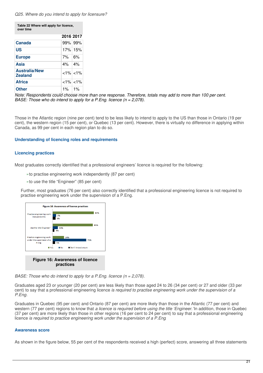#### *Q25. Where do you intend to apply for licensure?*

| Table 22 Where will apply for licence, |
|----------------------------------------|
| over time                              |

|                                        | 2016 2017   |               |
|----------------------------------------|-------------|---------------|
| <b>Canada</b>                          | 99% 99%     |               |
| US                                     |             | 17% 15%       |
| <b>Europe</b>                          | $7\%$ 6%    |               |
| Asia                                   | $4\%$ $4\%$ |               |
| <b>Australia/New</b><br><b>Zealand</b> |             | $<1\%$ $<1\%$ |
| <b>Africa</b>                          |             | $<1\%$ $<1\%$ |
| <b>Other</b>                           | $1\%$ 1%    |               |

Note: Respondents could choose more than one response. Therefore, totals may add to more than 100 per cent. *BASE: Those who do intend to apply for a P.Eng. licence (n = 2,078).*

Those in the Atlantic region (nine per cent) tend to be less likely to intend to apply to the US than those in Ontario (19 per cent), the western region (15 per cent), or Quebec (13 per cent). However, there is virtually no difference in applying within Canada, as 99 per cent in each region plan to do so.

#### **Understanding of licencing roles and requirements**

### **Licencing practices**

Most graduates correctly identified that a professional engineers' licence is required for the following:

- »to practise engineering work independently (87 per cent)
- »to use the title "Engineer" (85 per cent)

Further, most graduates (76 per cent) also correctly identified that a professional engineering licence is not required to practise engineering work under the supervision of a P.Eng.



*BASE: Those who do intend to apply for a P.Eng. licence (n = 2,078).*

Graduates aged 23 or younger (20 per cent) are less likely than those aged 24 to 26 (34 per cent) or 27 and older (33 per cent) to say that a professional engineering licence *is required to practise engineering work under the supervision of a P.Eng*.

Graduates in Quebec (95 per cent) and Ontario (87 per cent) are more likely than those in the Atlantic (77 per cent) and western (77 per cent) regions to know that *a licence is required before using the title 'Engineer.'*In addition, those in Quebec (37 per cent) are more likely than those in other regions (16 per cent to 24 per cent) to say that a professional engineering licence *is required to practice engineering work under the supervision of a P.Eng*.

### **Awareness score**

As shown in the figure below, 55 per cent of the respondents received a high (perfect) score, answering all three statements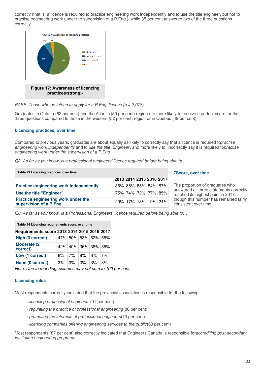correctly (that is, a licence is required to practice engineering work independently and to use the title engineer, but not to practise engineering work under the supervision of a P.Eng.), while 35 per cent answered two of the three questions correctly.



*BASE: Those who do intend to apply for a P.Eng. licence (n = 2,078).*

Graduates in Ontario (62 per cent) and the Atlantic (59 per cent) region are more likely to receive a perfect score for the three questions compared to those in the western (52 per cent) region or in Quebec (49 per cent).

### **Licencing practices, over time**

Compared to previous years, graduates are about equally as likely to correctly say that a licence is required to*practise engineering work independently* and to *use the title 'Engineer'*, and more likely to incorrectly say it is required to*practise engineering work under the supervision of a P.Eng.*

*Q8. As far as you know, is a professional engineers' licence required before being able to…*

**Table 23 Licencing practices, over time**

| <b>7Score, over time</b> |
|--------------------------|
|--------------------------|

|                                                                | <b>LUIS LUIT LUIS LUIU LUI</b> |  |                             |                                                                            |
|----------------------------------------------------------------|--------------------------------|--|-----------------------------|----------------------------------------------------------------------------|
| Practice engineering work independently                        |                                |  | 85% 85% 85% 84% 87%         | The proportion of graduates who<br>answered all three statements correctly |
| Use the title "Engineer"                                       |                                |  | 75% 74% 72% 77% 85%         | reached its highest point in 2017,                                         |
| Practice engineering work under the<br>supervision of a P.Eng. |                                |  | 20%   17%   13%   19%   24% | though this number has remained fairly<br>consistent over time.            |

**2013 2014 2015 2016 2017**

*Q8. As far as you know, is a Professional Engineers' licence required before being able to…*

| Table 24 Licencing requirements score, over time |    |         |          |                     |    |  |  |  |  |
|--------------------------------------------------|----|---------|----------|---------------------|----|--|--|--|--|
| Requirements score 2013 2014 2015 2016 2017      |    |         |          |                     |    |  |  |  |  |
| High (3 correct)                                 |    |         |          | 47% 50% 53% 52% 55% |    |  |  |  |  |
| <b>Moderate (2)</b><br>correct)                  |    |         |          | 42% 40% 36% 38% 35% |    |  |  |  |  |
| Low (1 correct)                                  | 8% | ∣7% ∣8% |          | 8%                  | 7% |  |  |  |  |
| None (0 correct)                                 | 3% |         | $3\%$ 3% | 3%                  | 3% |  |  |  |  |

*Note: Due to rounding, columns may not sum to 100 per cent.*

### **Licencing roles**

Most respondents correctly indicated that the provincial association is responsible for the following:

- »*licencing professional engineers* (91 per cent)
- »*regulating the practice of professional engineering*(80 per cent)
- »*promoting the interests of professional engineers*(73 per cent)
- »*licencing companies offering engineering services to the public*(60 per cent)

Most respondents (87 per cent) also correctly indicated that Engineers Canada is responsible for*accrediting post-secondary institution engineering programs*.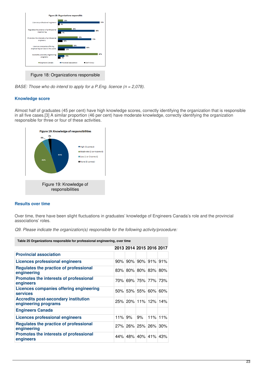

*BASE: Those who do intend to apply for a P.Eng. licence (n = 2,078).*

# **Knowledge score**

Almost half of graduates (45 per cent) have high knowledge scores, correctly identifying the organization that is responsible in all five cases.[3] A similar proportion (46 per cent) have moderate knowledge, correctly identifying the organization responsible for three or four of these activities.



# **Results over time**

Over time, there have been slight fluctuations in graduates' knowledge of Engineers Canada's role and the provincial associations' roles.

*Q9. Please indicate the organization(s) responsible for the following activity/procedure:*

| Table 25 Organizations responsible for professional engineering, over time |  |                                            |  |               |  |  |  |  |
|----------------------------------------------------------------------------|--|--------------------------------------------|--|---------------|--|--|--|--|
|                                                                            |  | 2013 2014 2015 2016 2017                   |  |               |  |  |  |  |
| <b>Provincial association</b>                                              |  |                                            |  |               |  |  |  |  |
| Licences professional engineers                                            |  | $90\%$   $90\%$   $90\%$   $91\%$   $91\%$ |  |               |  |  |  |  |
| Regulates the practice of professional<br>engineering                      |  | 83% 80% 80% 83% 80%                        |  |               |  |  |  |  |
| Promotes the interests of professional<br>engineers                        |  | 70% 69% 75% 77% 73%                        |  |               |  |  |  |  |
| Licences companies offering engineering<br><b>services</b>                 |  | 50% 53% 55% 60% 60%                        |  |               |  |  |  |  |
| <b>Accredits post-secondary institution</b><br>engineering programs        |  | 25% 20% 11% 12% 14%                        |  |               |  |  |  |  |
| <b>Engineers Canada</b>                                                    |  |                                            |  |               |  |  |  |  |
| Licences professional engineers                                            |  | 11% 9%                                     |  | $9\%$ 11% 11% |  |  |  |  |
| Regulates the practice of professional<br>engineering                      |  | 27% 26% 25% 26% 30%                        |  |               |  |  |  |  |
| <b>Promotes the interests of professional</b><br>engineers                 |  | 44% 48% 40% 41% 43%                        |  |               |  |  |  |  |